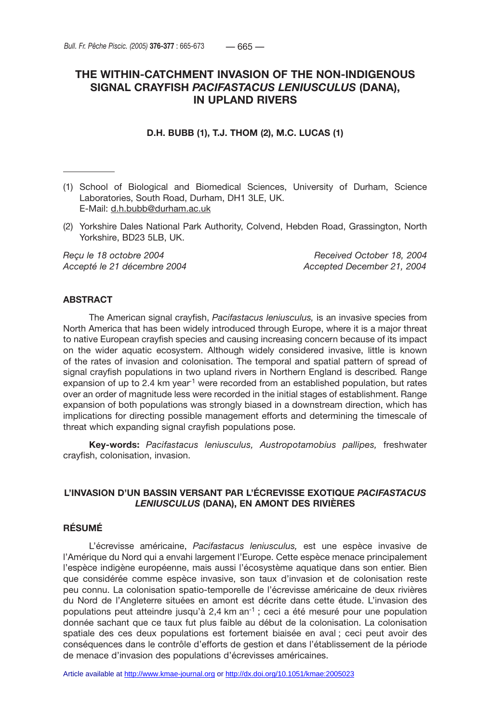# **THE WITHIN-CATCHMENT INVASION OF THE NON-INDIGENOUS SIGNAL CRAYFISH** *PACIFASTACUS LENIUSCULUS* **(DANA), IN UPLAND RIVERS**

# **D.H. BUBB (1), T.J. THOM (2), M.C. LUCAS (1)**

- (1) School of Biological and Biomedical Sciences, University of Durham, Science Laboratories, South Road, Durham, DH1 3LE, UK. E-Mail: d.h.bubb@durham.ac.uk
- (2) Yorkshire Dales National Park Authority, Colvend, Hebden Road, Grassington, North Yorkshire, BD23 5LB, UK.

*Reçu le 18 octobre 2004 Received October 18, 2004*

*Accepté le 21 décembre 2004 Accepted December 21, 2004*

## **ABSTRACT**

The American signal crayfish, *Pacifastacus leniusculus,* is an invasive species from North America that has been widely introduced through Europe, where it is a major threat to native European crayfish species and causing increasing concern because of its impact on the wider aquatic ecosystem. Although widely considered invasive, little is known of the rates of invasion and colonisation. The temporal and spatial pattern of spread of signal crayfish populations in two upland rivers in Northern England is described*.* Range expansion of up to 2.4 km year<sup>1</sup> were recorded from an established population, but rates over an order of magnitude less were recorded in the initial stages of establishment. Range expansion of both populations was strongly biased in a downstream direction, which has implications for directing possible management efforts and determining the timescale of threat which expanding signal crayfish populations pose.

**Key-words:** *Pacifastacus leniusculus, Austropotamobius pallipes,* freshwater crayfish, colonisation, invasion.

# **L'INVASION D'UN BASSIN VERSANT PAR L'ÉCREVISSE EXOTIQUE** *PACIFASTACUS LENIUSCULUS* **(DANA), EN AMONT DES RIVIÈRES**

# **RÉSUMÉ**

L'écrevisse américaine, *Pacifastacus leniusculus,* est une espèce invasive de l'Amérique du Nord qui a envahi largement l'Europe. Cette espèce menace principalement l'espèce indigène européenne, mais aussi l'écosystème aquatique dans son entier. Bien que considérée comme espèce invasive, son taux d'invasion et de colonisation reste peu connu. La colonisation spatio-temporelle de l'écrevisse américaine de deux rivières du Nord de l'Angleterre situées en amont est décrite dans cette étude. L'invasion des populations peut atteindre jusqu'à 2,4 km an-1 ; ceci a été mesuré pour une population donnée sachant que ce taux fut plus faible au début de la colonisation. La colonisation spatiale des ces deux populations est fortement biaisée en aval ; ceci peut avoir des conséquences dans le contrôle d'efforts de gestion et dans l'établissement de la période de menace d'invasion des populations d'écrevisses américaines.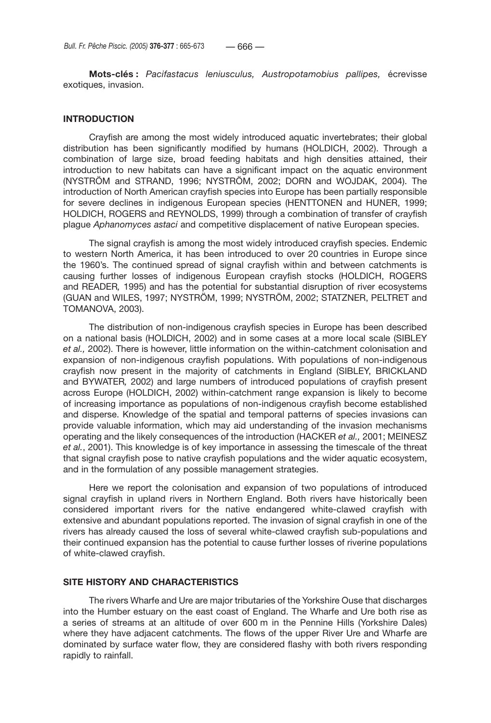**Mots-clés :** *Pacifastacus leniusculus, Austropotamobius pallipes,* écrevisse exotiques, invasion.

# **INTRODUCTION**

Crayfish are among the most widely introduced aquatic invertebrates; their global distribution has been significantly modified by humans (HOLDICH, 2002). Through a combination of large size, broad feeding habitats and high densities attained, their introduction to new habitats can have a significant impact on the aquatic environment (NYSTRÖM and STRAND, 1996; NYSTRÖM, 2002; DORN and WOJDAK, 2004). The introduction of North American crayfish species into Europe has been partially responsible for severe declines in indigenous European species (HENTTONEN and HUNER, 1999; HOLDICH, ROGERS and REYNOLDS, 1999) through a combination of transfer of crayfish plague *Aphanomyces astaci* and competitive displacement of native European species.

The signal crayfish is among the most widely introduced crayfish species. Endemic to western North America, it has been introduced to over 20 countries in Europe since the 1960's. The continued spread of signal crayfish within and between catchments is causing further losses of indigenous European crayfish stocks (HOLDICH, ROGERS and READER*,* 1995) and has the potential for substantial disruption of river ecosystems (GUAN and WILES, 1997; NYSTRÖM, 1999; NYSTRÖM, 2002; STATZNER, PELTRET and TOMANOVA, 2003).

The distribution of non-indigenous crayfish species in Europe has been described on a national basis (HOLDICH, 2002) and in some cases at a more local scale (SIBLEY *et al.,* 2002). There is however, little information on the within-catchment colonisation and expansion of non-indigenous crayfish populations. With populations of non-indigenous crayfish now present in the majority of catchments in England (SIBLEY, BRICKLAND and BYWATER*,* 2002) and large numbers of introduced populations of crayfish present across Europe (HOLDICH, 2002) within-catchment range expansion is likely to become of increasing importance as populations of non-indigenous crayfish become established and disperse. Knowledge of the spatial and temporal patterns of species invasions can provide valuable information, which may aid understanding of the invasion mechanisms operating and the likely consequences of the introduction (HACKER *et al.,* 2001; MEINESZ *et al.*, 2001). This knowledge is of key importance in assessing the timescale of the threat that signal crayfish pose to native crayfish populations and the wider aquatic ecosystem, and in the formulation of any possible management strategies.

Here we report the colonisation and expansion of two populations of introduced signal crayfish in upland rivers in Northern England. Both rivers have historically been considered important rivers for the native endangered white-clawed crayfish with extensive and abundant populations reported. The invasion of signal crayfish in one of the rivers has already caused the loss of several white-clawed crayfish sub-populations and their continued expansion has the potential to cause further losses of riverine populations of white-clawed crayfish.

## **SITE HISTORY AND CHARACTERISTICS**

The rivers Wharfe and Ure are major tributaries of the Yorkshire Ouse that discharges into the Humber estuary on the east coast of England. The Wharfe and Ure both rise as a series of streams at an altitude of over 600 m in the Pennine Hills (Yorkshire Dales) where they have adjacent catchments. The flows of the upper River Ure and Wharfe are dominated by surface water flow, they are considered flashy with both rivers responding rapidly to rainfall.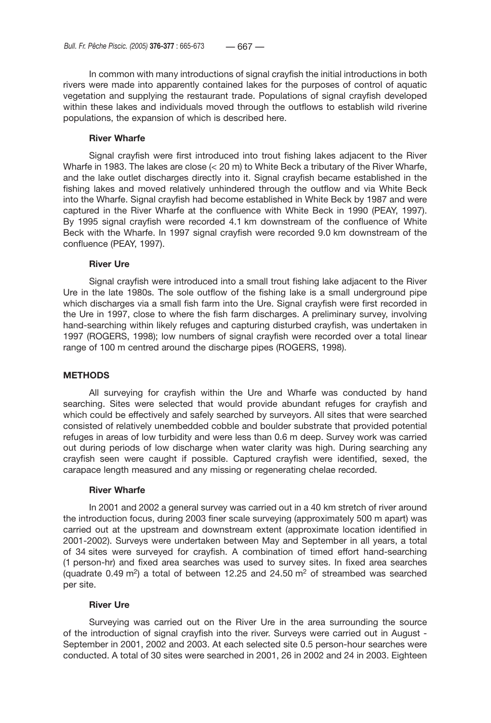In common with many introductions of signal crayfish the initial introductions in both rivers were made into apparently contained lakes for the purposes of control of aquatic vegetation and supplying the restaurant trade. Populations of signal crayfish developed within these lakes and individuals moved through the outflows to establish wild riverine populations, the expansion of which is described here.

## **River Wharfe**

Signal crayfish were first introduced into trout fishing lakes adjacent to the River Wharfe in 1983. The lakes are close (< 20 m) to White Beck a tributary of the River Wharfe, and the lake outlet discharges directly into it. Signal crayfish became established in the fishing lakes and moved relatively unhindered through the outflow and via White Beck into the Wharfe. Signal crayfish had become established in White Beck by 1987 and were captured in the River Wharfe at the confluence with White Beck in 1990 (PEAY, 1997). By 1995 signal crayfish were recorded 4.1 km downstream of the confluence of White Beck with the Wharfe. In 1997 signal crayfish were recorded 9.0 km downstream of the confluence (PEAY, 1997).

## **River Ure**

Signal crayfish were introduced into a small trout fishing lake adjacent to the River Ure in the late 1980s. The sole outflow of the fishing lake is a small underground pipe which discharges via a small fish farm into the Ure. Signal crayfish were first recorded in the Ure in 1997, close to where the fish farm discharges. A preliminary survey, involving hand-searching within likely refuges and capturing disturbed crayfish, was undertaken in 1997 (ROGERS, 1998); low numbers of signal crayfish were recorded over a total linear range of 100 m centred around the discharge pipes (ROGERS, 1998).

# **METHODS**

All surveying for crayfish within the Ure and Wharfe was conducted by hand searching. Sites were selected that would provide abundant refuges for crayfish and which could be effectively and safely searched by surveyors. All sites that were searched consisted of relatively unembedded cobble and boulder substrate that provided potential refuges in areas of low turbidity and were less than 0.6 m deep. Survey work was carried out during periods of low discharge when water clarity was high. During searching any crayfish seen were caught if possible. Captured crayfish were identified, sexed, the carapace length measured and any missing or regenerating chelae recorded.

### **River Wharfe**

In 2001 and 2002 a general survey was carried out in a 40 km stretch of river around the introduction focus, during 2003 finer scale surveying (approximately 500 m apart) was carried out at the upstream and downstream extent (approximate location identified in 2001-2002). Surveys were undertaken between May and September in all years, a total of 34 sites were surveyed for crayfish. A combination of timed effort hand-searching (1 person-hr) and fixed area searches was used to survey sites. In fixed area searches (quadrate 0.49 m<sup>2</sup>) a total of between 12.25 and 24.50 m<sup>2</sup> of streambed was searched per site.

# **River Ure**

Surveying was carried out on the River Ure in the area surrounding the source of the introduction of signal crayfish into the river. Surveys were carried out in August - September in 2001, 2002 and 2003. At each selected site 0.5 person-hour searches were conducted. A total of 30 sites were searched in 2001, 26 in 2002 and 24 in 2003. Eighteen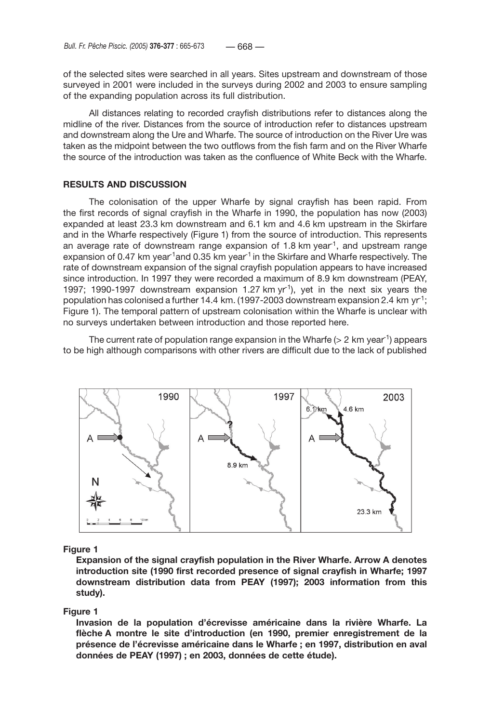of the selected sites were searched in all years. Sites upstream and downstream of those surveyed in 2001 were included in the surveys during 2002 and 2003 to ensure sampling of the expanding population across its full distribution.

All distances relating to recorded crayfish distributions refer to distances along the midline of the river. Distances from the source of introduction refer to distances upstream and downstream along the Ure and Wharfe. The source of introduction on the River Ure was taken as the midpoint between the two outflows from the fish farm and on the River Wharfe the source of the introduction was taken as the confluence of White Beck with the Wharfe.

# **RESULTS AND DISCUSSION**

The colonisation of the upper Wharfe by signal crayfish has been rapid. From the first records of signal crayfish in the Wharfe in 1990, the population has now (2003) expanded at least 23.3 km downstream and 6.1 km and 4.6 km upstream in the Skirfare and in the Wharfe respectively (Figure 1) from the source of introduction. This represents an average rate of downstream range expansion of 1.8 km year<sup>1</sup>, and upstream range expansion of 0.47 km year<sup>-1</sup>and 0.35 km year<sup>-1</sup> in the Skirfare and Wharfe respectively. The rate of downstream expansion of the signal crayfish population appears to have increased since introduction. In 1997 they were recorded a maximum of 8.9 km downstream (PEAY, 1997; 1990-1997 downstream expansion 1.27 km  $yr^{-1}$ ), yet in the next six years the population has colonised a further 14.4 km. (1997-2003 downstream expansion 2.4 km yr<sup>-1</sup>; Figure 1). The temporal pattern of upstream colonisation within the Wharfe is unclear with no surveys undertaken between introduction and those reported here.

The current rate of population range expansion in the Wharfe ( $>$  2 km year<sup>-1</sup>) appears to be high although comparisons with other rivers are difficult due to the lack of published



### **Figure 1**

**Expansion of the signal crayfish population in the River Wharfe. Arrow A denotes introduction site (1990 first recorded presence of signal crayfish in Wharfe; 1997 downstream distribution data from PEAY (1997); 2003 information from this study).**

### **Figure 1**

**Invasion de la population d'écrevisse américaine dans la rivière Wharfe. La flèche A montre le site d'introduction (en 1990, premier enregistrement de la présence de l'écrevisse américaine dans le Wharfe ; en 1997, distribution en aval données de PEAY (1997) ; en 2003, données de cette étude).**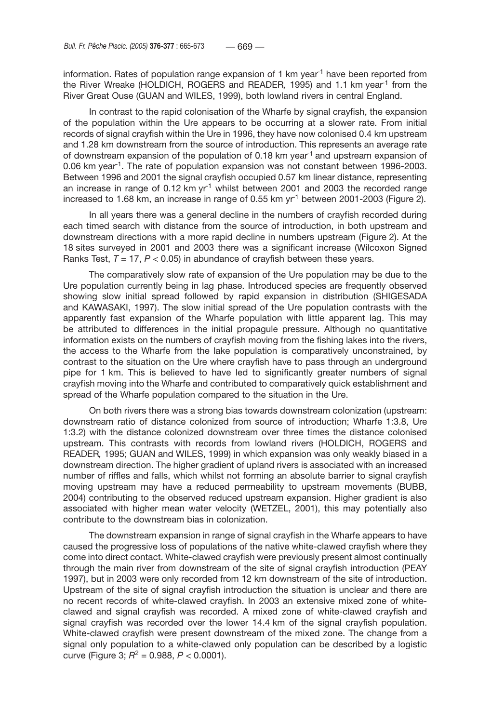information. Rates of population range expansion of 1 km year<sup>1</sup> have been reported from the River Wreake (HOLDICH, ROGERS and READER*,* 1995) and 1.1 km year-1 from the River Great Ouse (GUAN and WILES, 1999), both lowland rivers in central England.

In contrast to the rapid colonisation of the Wharfe by signal crayfish, the expansion of the population within the Ure appears to be occurring at a slower rate. From initial records of signal crayfish within the Ure in 1996, they have now colonised 0.4 km upstream and 1.28 km downstream from the source of introduction. This represents an average rate of downstream expansion of the population of 0.18 km year-1 and upstream expansion of 0.06 km year-1. The rate of population expansion was not constant between 1996-2003. Between 1996 and 2001 the signal crayfish occupied 0.57 km linear distance, representing an increase in range of 0.12 km  $yr<sup>-1</sup>$  whilst between 2001 and 2003 the recorded range increased to 1.68 km, an increase in range of 0.55 km  $yr<sup>1</sup>$  between 2001-2003 (Figure 2).

In all years there was a general decline in the numbers of crayfish recorded during each timed search with distance from the source of introduction, in both upstream and downstream directions with a more rapid decline in numbers upstream (Figure 2). At the 18 sites surveyed in 2001 and 2003 there was a significant increase (Wilcoxon Signed Ranks Test,  $T = 17$ ,  $P < 0.05$ ) in abundance of crayfish between these years.

The comparatively slow rate of expansion of the Ure population may be due to the Ure population currently being in lag phase. Introduced species are frequently observed showing slow initial spread followed by rapid expansion in distribution (SHIGESADA and KAWASAKI, 1997). The slow initial spread of the Ure population contrasts with the apparently fast expansion of the Wharfe population with little apparent lag. This may be attributed to differences in the initial propagule pressure. Although no quantitative information exists on the numbers of crayfish moving from the fishing lakes into the rivers, the access to the Wharfe from the lake population is comparatively unconstrained, by contrast to the situation on the Ure where crayfish have to pass through an underground pipe for 1 km. This is believed to have led to significantly greater numbers of signal crayfish moving into the Wharfe and contributed to comparatively quick establishment and spread of the Wharfe population compared to the situation in the Ure.

On both rivers there was a strong bias towards downstream colonization (upstream: downstream ratio of distance colonized from source of introduction; Wharfe 1:3.8, Ure 1:3.2) with the distance colonized downstream over three times the distance colonised upstream. This contrasts with records from lowland rivers (HOLDICH, ROGERS and READER*,* 1995; GUAN and WILES, 1999) in which expansion was only weakly biased in a downstream direction. The higher gradient of upland rivers is associated with an increased number of riffles and falls, which whilst not forming an absolute barrier to signal crayfish moving upstream may have a reduced permeability to upstream movements (BUBB, 2004) contributing to the observed reduced upstream expansion. Higher gradient is also associated with higher mean water velocity (WETZEL, 2001), this may potentially also contribute to the downstream bias in colonization.

The downstream expansion in range of signal crayfish in the Wharfe appears to have caused the progressive loss of populations of the native white-clawed crayfish where they come into direct contact. White-clawed crayfish were previously present almost continually through the main river from downstream of the site of signal crayfish introduction (PEAY 1997), but in 2003 were only recorded from 12 km downstream of the site of introduction. Upstream of the site of signal crayfish introduction the situation is unclear and there are no recent records of white-clawed crayfish. In 2003 an extensive mixed zone of whiteclawed and signal crayfish was recorded. A mixed zone of white-clawed crayfish and signal crayfish was recorded over the lower 14.4 km of the signal crayfish population. White-clawed crayfish were present downstream of the mixed zone. The change from a signal only population to a white-clawed only population can be described by a logistic curve (Figure 3;  $R^2 = 0.988$ ,  $P < 0.0001$ ).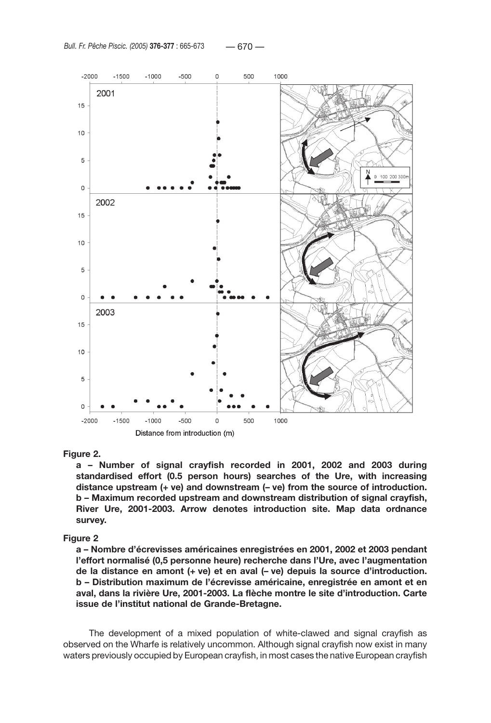

#### **Figure 2.**

**a – Number of signal crayfish recorded in 2001, 2002 and 2003 during standardised effort (0.5 person hours) searches of the Ure, with increasing distance upstream (+ ve) and downstream (– ve) from the source of introduction. b – Maximum recorded upstream and downstream distribution of signal crayfish, River Ure, 2001-2003. Arrow denotes introduction site. Map data ordnance survey.**

#### **Figure 2**

**a – Nombre d'écrevisses américaines enregistrées en 2001, 2002 et 2003 pendant l'effort normalisé (0,5 personne heure) recherche dans l'Ure, avec l'augmentation de la distance en amont (+ ve) et en aval (– ve) depuis la source d'introduction. b – Distribution maximum de l'écrevisse américaine, enregistrée en amont et en aval, dans la rivière Ure, 2001-2003. La flèche montre le site d'introduction. Carte issue de l'institut national de Grande-Bretagne.**

The development of a mixed population of white-clawed and signal crayfish as observed on the Wharfe is relatively uncommon. Although signal crayfish now exist in many waters previously occupied by European crayfish, in most cases the native European crayfish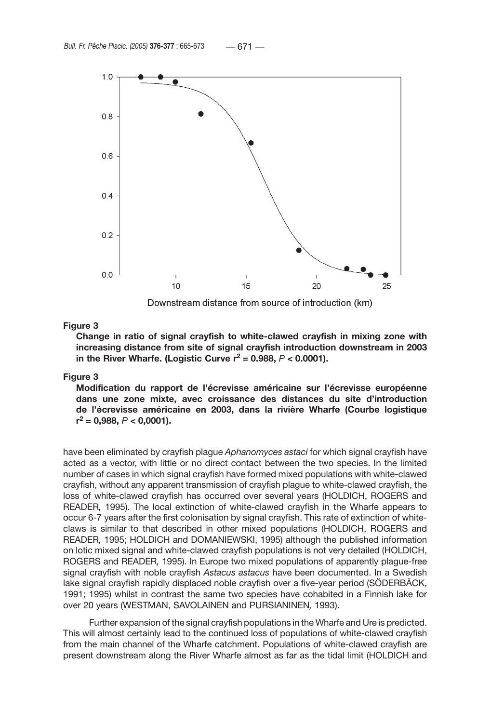

Downstream distance from source of introduction (km)

# **Figure 3**

**Change in ratio of signal crayfish to white-clawed crayfish in mixing zone with increasing distance from site of signal crayfish introduction downstream in 2003**  in the River Wharfe. (Logistic Curve  $r^2 = 0.988$ ,  $P < 0.0001$ ).

# **Figure 3**

**Modification du rapport de l'écrevisse américaine sur l'écrevisse européenne dans une zone mixte, avec croissance des distances du site d'introduction de l'écrevisse américaine en 2003, dans la rivière Wharfe (Courbe logistique r2 = 0,988,** *P* **< 0,0001).**

have been eliminated by crayfish plague *Aphanomyces astaci* for which signal crayfish have acted as a vector, with little or no direct contact between the two species. In the limited number of cases in which signal crayfish have formed mixed populations with white-clawed crayfish, without any apparent transmission of crayfish plague to white-clawed crayfish, the loss of white-clawed crayfish has occurred over several years (HOLDICH, ROGERS and READER*,* 1995). The local extinction of white-clawed crayfish in the Wharfe appears to occur 6-7 years after the first colonisation by signal crayfish. This rate of extinction of whiteclaws is similar to that described in other mixed populations (HOLDICH, ROGERS and READER*,* 1995; HOLDICH and DOMANIEWSKI, 1995) although the published information on lotic mixed signal and white-clawed crayfish populations is not very detailed (HOLDICH, ROGERS and READER*,* 1995). In Europe two mixed populations of apparently plague-free signal crayfish with noble crayfish *Astacus astacus* have been documented. In a Swedish lake signal crayfish rapidly displaced noble crayfish over a five-year period (SÖDERBÄCK, 1991; 1995) whilst in contrast the same two species have cohabited in a Finnish lake for over 20 years (WESTMAN, SAVOLAINEN and PURSIANINEN*,* 1993).

Further expansion of the signal crayfish populations in the Wharfe and Ure is predicted. This will almost certainly lead to the continued loss of populations of white-clawed crayfish from the main channel of the Wharfe catchment. Populations of white-clawed crayfish are present downstream along the River Wharfe almost as far as the tidal limit (HOLDICH and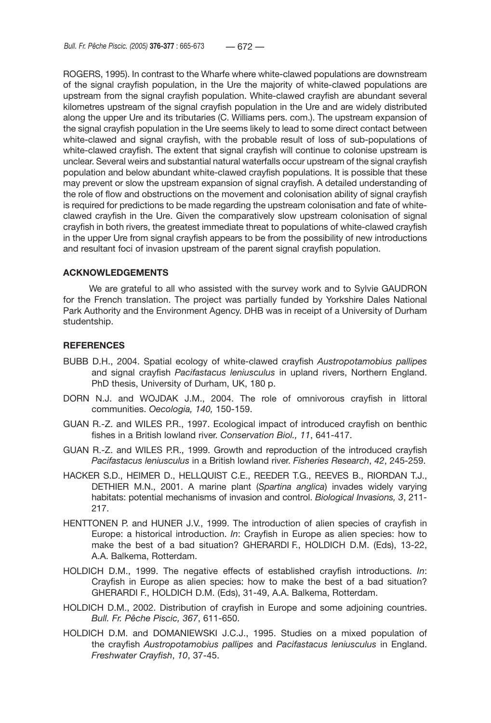ROGERS, 1995). In contrast to the Wharfe where white-clawed populations are downstream of the signal crayfish population, in the Ure the majority of white-clawed populations are upstream from the signal crayfish population. White-clawed crayfish are abundant several kilometres upstream of the signal crayfish population in the Ure and are widely distributed along the upper Ure and its tributaries (C. Williams pers. com.). The upstream expansion of the signal crayfish population in the Ure seems likely to lead to some direct contact between white-clawed and signal crayfish, with the probable result of loss of sub-populations of white-clawed crayfish. The extent that signal crayfish will continue to colonise upstream is unclear. Several weirs and substantial natural waterfalls occur upstream of the signal crayfish population and below abundant white-clawed crayfish populations. It is possible that these may prevent or slow the upstream expansion of signal crayfish. A detailed understanding of the role of flow and obstructions on the movement and colonisation ability of signal crayfish is required for predictions to be made regarding the upstream colonisation and fate of whiteclawed crayfish in the Ure. Given the comparatively slow upstream colonisation of signal crayfish in both rivers, the greatest immediate threat to populations of white-clawed crayfish in the upper Ure from signal crayfish appears to be from the possibility of new introductions and resultant foci of invasion upstream of the parent signal crayfish population.

## **ACKNOWLEDGEMENTS**

We are grateful to all who assisted with the survey work and to Sylvie GAUDRON for the French translation. The project was partially funded by Yorkshire Dales National Park Authority and the Environment Agency. DHB was in receipt of a University of Durham studentship.

## **REFERENCES**

- BUBB D.H., 2004. Spatial ecology of white-clawed crayfish *Austropotamobius pallipes*  and signal crayfish *Pacifastacus leniusculus* in upland rivers, Northern England. PhD thesis, University of Durham, UK, 180 p.
- DORN N.J. and WOJDAK J.M., 2004. The role of omnivorous crayfish in littoral communities. *Oecologia, 140,* 150-159.
- GUAN R.-Z. and WILES P.R., 1997. Ecological impact of introduced crayfish on benthic fishes in a British lowland river. *Conservation Biol., 11*, 641-417.
- GUAN R.-Z. and WILES P.R., 1999. Growth and reproduction of the introduced crayfish *Pacifastacus leniusculus* in a British lowland river. *Fisheries Research*, *42*, 245-259.
- HACKER S.D., HEIMER D., HELLQUIST C.E., REEDER T.G., REEVES B., RIORDAN T.J., DETHIER M.N., 2001. A marine plant (*Spartina anglica*) invades widely varying habitats: potential mechanisms of invasion and control. *Biological Invasions, 3*, 211- 217.
- HENTTONEN P. and HUNER J.V., 1999. The introduction of alien species of crayfish in Europe: a historical introduction. *In*: Crayfish in Europe as alien species: how to make the best of a bad situation? GHERARDI F., HOLDICH D.M. (Eds), 13-22, A.A. Balkema, Rotterdam.
- HOLDICH D.M., 1999. The negative effects of established crayfish introductions. *In*: Crayfish in Europe as alien species: how to make the best of a bad situation? GHERARDI F., HOLDICH D.M. (Eds), 31-49, A.A. Balkema, Rotterdam.
- HOLDICH D.M., 2002. Distribution of crayfish in Europe and some adjoining countries. *Bull. Fr. Pêche Piscic, 367*, 611-650.
- HOLDICH D.M. and DOMANIEWSKI J.C.J., 1995. Studies on a mixed population of the crayfish *Austropotamobius pallipes* and *Pacifastacus leniusculus* in England. *Freshwater Crayfish*, *10*, 37-45.